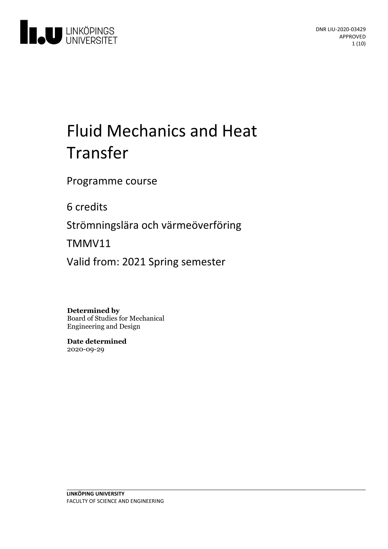

# Fluid Mechanics and Heat Transfer

Programme course

6 credits

Strömningslära och värmeöverföring

TMMV11

Valid from: 2021 Spring semester

**Determined by** Board of Studies for Mechanical

Engineering and Design

**Date determined** 2020-09-29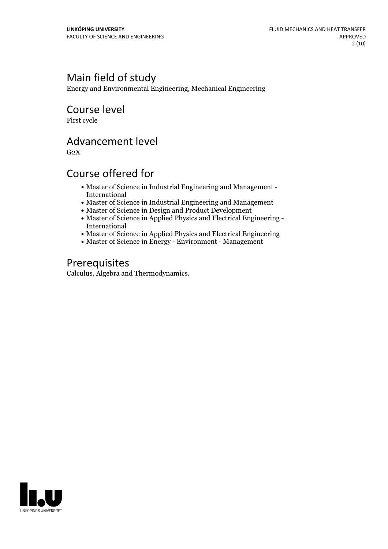# Main field of study

Energy and Environmental Engineering, Mechanical Engineering

Course level

First cycle

### Advancement level

 $G<sub>2</sub>X$ 

# Course offered for

- Master of Science in Industrial Engineering and Management International
- Master of Science in Industrial Engineering and Management
- Master of Science in Design and Product Development
- Master of Science in Applied Physics and Electrical Engineering International
- Master of Science in Applied Physics and Electrical Engineering
- Master of Science in Energy Environment Management

### Prerequisites

Calculus, Algebra and Thermodynamics.

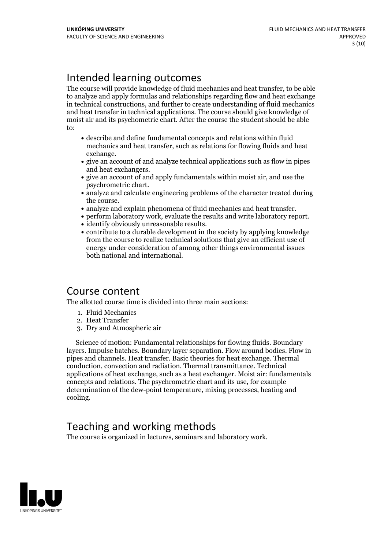# Intended learning outcomes

The course will provide knowledge of fluid mechanics and heat transfer, to be able to analyze and apply formulas and relationships regarding flow and heat exchange in technical constructions, and further to create understanding of fluid mechanics and heat transfer in technical applications. The course should give knowledge of moist air and its psychometric chart. After the course the student should be able to:

- describe and define fundamental concepts and relations within fluid mechanics and heat transfer, such as relations for flowing fluids and heat exchange.<br>• give an account of and analyze technical applications such as flow in pipes
- and heat exchangers.<br>• give an account of and apply fundamentals within moist air, and use the
- psychrometric chart.<br>• analyze and calculate engineering problems of the character treated during
- 
- 
- analyze and explain phenomena of fluid mechanics and heat transfer.<br>• perform laboratory work, evaluate the results and write laboratory report.<br>• identify obviously unreasonable results.<br>• contribute to a durable develo
- 
- from the course to realize technical solutions that give an efficient use of energy under consideration of among other things environmental issues both national and international.

### Course content

The allotted course time is divided into three main sections:

- 1. Fluid Mechanics
- 2. Heat Transfer
- 3. Dry and Atmospheric air

Science of motion: Fundamental relationships for flowing fluids. Boundary layers. Impulse batches. Boundary layer separation. Flow around bodies. Flow in pipes and channels. Heat transfer. Basic theories for heat exchange. Thermal conduction, convection and radiation. Thermal transmittance. Technical applications of heat exchange, such as a heat exchanger. Moist air: fundamentals concepts and relations. The psychrometric chart and its use, for example determination of the dew-point temperature, mixing processes, heating and cooling.

# Teaching and working methods

The course is organized in lectures, seminars and laboratory work.

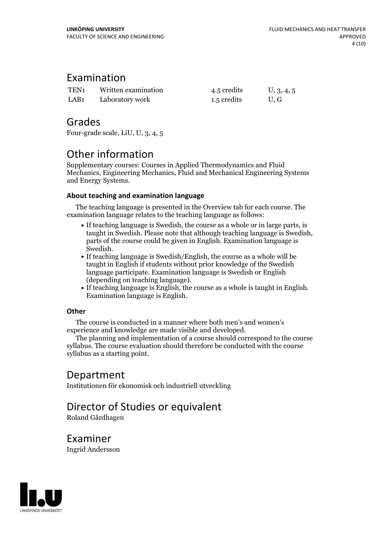### Examination

| TEN <sub>1</sub> | Written examination | 4.5 credits | U, 3, 4, 5 |
|------------------|---------------------|-------------|------------|
| LAB <sub>1</sub> | Laboratory work     | 1.5 credits | U.G        |

### Grades

Four-grade scale, LiU, U, 3, 4, 5

# Other information

Supplementary courses: Courses in Applied Thermodynamics and Fluid Mechanics, Engineering Mechanics, Fluid and Mechanical Engineering Systems and Energy Systems.

#### **About teaching and examination language**

The teaching language is presented in the Overview tab for each course. The examination language relates to the teaching language as follows:

- If teaching language is Swedish, the course as a whole or in large parts, is taught in Swedish. Please note that although teaching language is Swedish, parts of the course could be given in English. Examination language is
- Swedish.<br>• If teaching language is Swedish/English, the course as a whole will be taught in English if students without prior knowledge of the Swedish language participate. Examination language is Swedish or English
- (depending on teaching language).<br>• If teaching language is English, the course as a whole is taught in English.<br>Examination language is English.

#### **Other**

The course is conducted in a manner where both men's and women's

experience and knowledge are made visible and developed. The planning and implementation of <sup>a</sup> course should correspond to the course syllabus. The course evaluation should therefore be conducted with the course syllabus as a starting point.

### Department

Institutionen för ekonomisk och industriell utveckling

# Director of Studies or equivalent

Roland Gårdhagen

Examiner

Ingrid Andersson

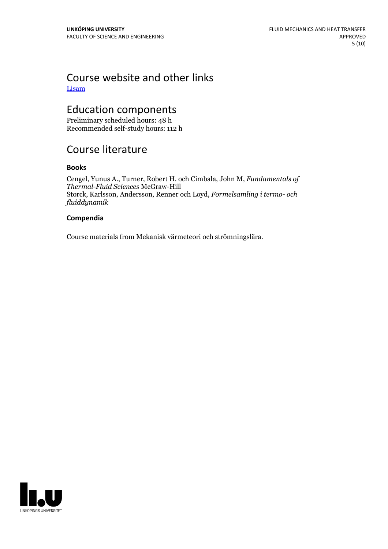### Course website and other links [Lisam](https://studieinfo.liu.se/Lisam)

# Education components

Preliminary scheduled hours: 48 h Recommended self-study hours: 112 h

# Course literature

#### **Books**

Cengel, Yunus A., Turner, Robert H. och Cimbala, John M, *Fundamentals of Thermal-Fluid Sciences* McGraw-Hill Storck, Karlsson, Andersson, Renner och Loyd, *Formelsamling i termo- och fluiddynamik*

#### **Compendia**

Course materials from Mekanisk värmeteori och strömningslära.

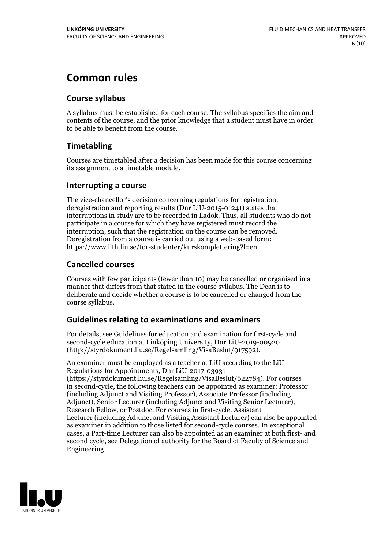# **Common rules**

### **Course syllabus**

A syllabus must be established for each course. The syllabus specifies the aim and contents of the course, and the prior knowledge that a student must have in order to be able to benefit from the course.

### **Timetabling**

Courses are timetabled after a decision has been made for this course concerning its assignment to a timetable module.

#### **Interrupting a course**

The vice-chancellor's decision concerning regulations for registration, deregistration and reporting results (Dnr LiU-2015-01241) states that interruptions in study are to be recorded in Ladok. Thus, all students who do not participate in a course for which they have registered must record the interruption, such that the registration on the course can be removed. Deregistration from <sup>a</sup> course is carried outusing <sup>a</sup> web-based form: https://www.lith.liu.se/for-studenter/kurskomplettering?l=en.

### **Cancelled courses**

Courses with few participants (fewer than 10) may be cancelled or organised in a manner that differs from that stated in the course syllabus. The Dean is to deliberate and decide whether a course is to be cancelled or changed from the course syllabus.

### **Guidelines relatingto examinations and examiners**

For details, see Guidelines for education and examination for first-cycle and second-cycle education at Linköping University, Dnr LiU-2019-00920 (http://styrdokument.liu.se/Regelsamling/VisaBeslut/917592).

An examiner must be employed as a teacher at LiU according to the LiU Regulations for Appointments, Dnr LiU-2017-03931 (https://styrdokument.liu.se/Regelsamling/VisaBeslut/622784). For courses in second-cycle, the following teachers can be appointed as examiner: Professor (including Adjunct and Visiting Professor), Associate Professor (including Adjunct), Senior Lecturer (including Adjunct and Visiting Senior Lecturer), Research Fellow, or Postdoc. For courses in first-cycle, Assistant Lecturer (including Adjunct and Visiting Assistant Lecturer) can also be appointed as examiner in addition to those listed for second-cycle courses. In exceptional cases, a Part-time Lecturer can also be appointed as an examiner at both first- and second cycle, see Delegation of authority for the Board of Faculty of Science and Engineering.

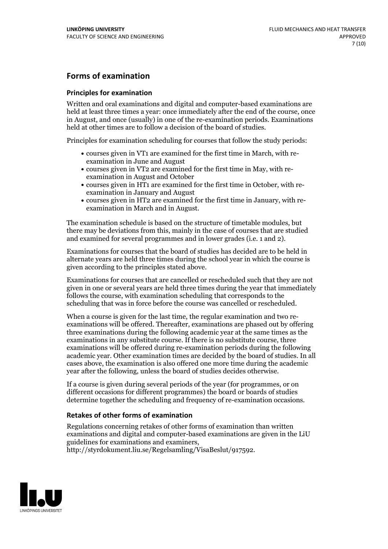### **Forms of examination**

#### **Principles for examination**

Written and oral examinations and digital and computer-based examinations are held at least three times a year: once immediately after the end of the course, once in August, and once (usually) in one of the re-examination periods. Examinations held at other times are to follow a decision of the board of studies.

Principles for examination scheduling for courses that follow the study periods:

- courses given in VT1 are examined for the first time in March, with re-examination in June and August
- courses given in VT2 are examined for the first time in May, with re-examination in August and October
- courses given in HT1 are examined for the first time in October, with re-examination in January and August
- courses given in HT2 are examined for the first time in January, with re-examination in March and in August.

The examination schedule is based on the structure of timetable modules, but there may be deviations from this, mainly in the case of courses that are studied and examined for several programmes and in lower grades (i.e. 1 and 2).

Examinations for courses that the board of studies has decided are to be held in alternate years are held three times during the school year in which the course is given according to the principles stated above.

Examinations for courses that are cancelled orrescheduled such that they are not given in one or several years are held three times during the year that immediately follows the course, with examination scheduling that corresponds to the scheduling that was in force before the course was cancelled or rescheduled.

When a course is given for the last time, the regular examination and two re-<br>examinations will be offered. Thereafter, examinations are phased out by offering three examinations during the following academic year at the same times as the examinations in any substitute course. If there is no substitute course, three examinations will be offered during re-examination periods during the following academic year. Other examination times are decided by the board of studies. In all cases above, the examination is also offered one more time during the academic year after the following, unless the board of studies decides otherwise.

If a course is given during several periods of the year (for programmes, or on different occasions for different programmes) the board or boards of studies determine together the scheduling and frequency of re-examination occasions.

#### **Retakes of other forms of examination**

Regulations concerning retakes of other forms of examination than written examinations and digital and computer-based examinations are given in the LiU guidelines for examinations and examiners, http://styrdokument.liu.se/Regelsamling/VisaBeslut/917592.

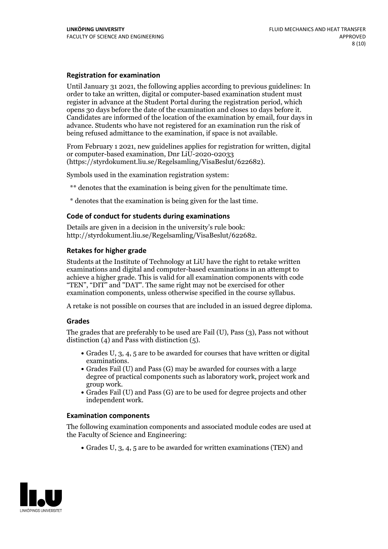#### **Registration for examination**

Until January 31 2021, the following applies according to previous guidelines: In order to take an written, digital or computer-based examination student must register in advance at the Student Portal during the registration period, which Candidates are informed of the location of the examination by email, four days in advance. Students who have not registered for an examination run the risk of being refused admittance to the examination, if space is not available.

From February 1 2021, new guidelines applies for registration for written, digital or computer-based examination, Dnr LiU-2020-02033 (https://styrdokument.liu.se/Regelsamling/VisaBeslut/622682).

Symbols used in the examination registration system:

\*\* denotes that the examination is being given for the penultimate time.

\* denotes that the examination is being given for the last time.

#### **Code of conduct for students during examinations**

Details are given in a decision in the university's rule book: http://styrdokument.liu.se/Regelsamling/VisaBeslut/622682.

#### **Retakes for higher grade**

Students at the Institute of Technology at LiU have the right to retake written examinations and digital and computer-based examinations in an attempt to achieve a higher grade. This is valid for all examination components with code "TEN", "DIT" and "DAT". The same right may not be exercised for other examination components, unless otherwise specified in the course syllabus.

A retake is not possible on courses that are included in an issued degree diploma.

#### **Grades**

The grades that are preferably to be used are Fail (U), Pass (3), Pass not without distinction  $(4)$  and Pass with distinction  $(5)$ .

- Grades U, 3, 4, 5 are to be awarded for courses that have written or digital examinations.<br>• Grades Fail (U) and Pass (G) may be awarded for courses with a large
- degree of practical components such as laboratory work, project work and
- Grades Fail (U) and Pass (G) are to be used for degree projects and other independent work.

#### **Examination components**

The following examination components and associated module codes are used at the Faculty of Science and Engineering:

Grades U, 3, 4, 5 are to be awarded for written examinations (TEN) and

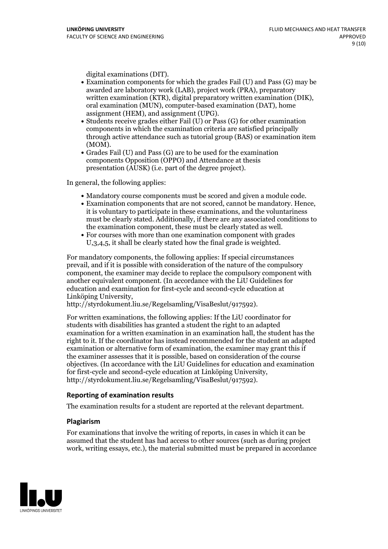- digital examinations (DIT).<br>• Examination components for which the grades Fail (U) and Pass (G) may be awarded are laboratory work (LAB), project work (PRA), preparatory written examination (KTR), digital preparatory written examination (DIK), oral examination (MUN), computer-based examination (DAT), home
- assignment (HEM), and assignment (UPG).<br>• Students receive grades either Fail (U) or Pass (G) for other examination components in which the examination criteria are satisfied principally through active attendance such as tutorial group (BAS) or examination item
- (MOM).<br>• Grades Fail (U) and Pass (G) are to be used for the examination components Opposition (OPPO) and Attendance at thesis presentation (AUSK) (i.e. part of the degree project).

In general, the following applies:

- 
- Mandatory course components must be scored and given <sup>a</sup> module code. Examination components that are not scored, cannot be mandatory. Hence, it is voluntary to participate in these examinations, and the voluntariness must be clearly stated. Additionally, if there are any associated conditions to the examination component, these must be clearly stated as well.<br>• For courses with more than one examination component with grades
- U,3,4,5, it shall be clearly stated how the final grade is weighted.

For mandatory components, the following applies: If special circumstances prevail, and if it is possible with consideration of the nature ofthe compulsory component, the examiner may decide to replace the compulsory component with another equivalent component. (In accordance with the LiU Guidelines for education and examination for first-cycle and second-cycle education at Linköping University, http://styrdokument.liu.se/Regelsamling/VisaBeslut/917592).

For written examinations, the following applies: If the LiU coordinator for students with disabilities has granted a student the right to an adapted examination for a written examination in an examination hall, the student has the right to it. If the coordinator has instead recommended for the student an adapted examination or alternative form of examination, the examiner may grant this if the examiner assesses that it is possible, based on consideration of the course objectives. (In accordance with the LiU Guidelines for education and examination for first-cycle and second-cycle education at Linköping University, http://styrdokument.liu.se/Regelsamling/VisaBeslut/917592).

#### **Reporting of examination results**

The examination results for a student are reported at the relevant department.

#### **Plagiarism**

For examinations that involve the writing of reports, in cases in which it can be assumed that the student has had access to other sources (such as during project work, writing essays, etc.), the material submitted must be prepared in accordance